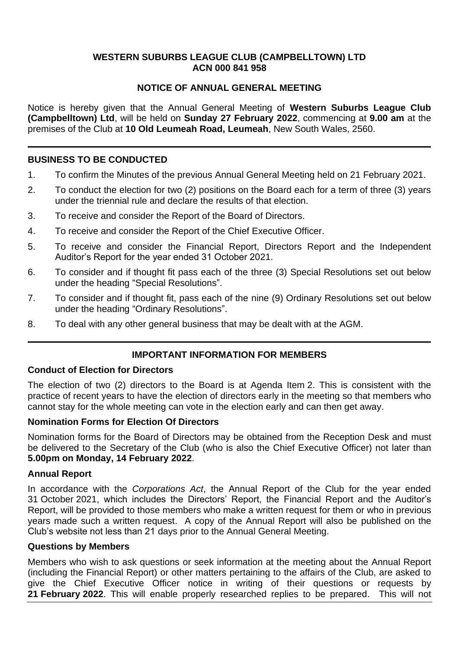#### **WESTERN SUBURBS LEAGUE CLUB (CAMPBELLTOWN) LTD ACN 000 841 958**

## **NOTICE OF ANNUAL GENERAL MEETING**

Notice is hereby given that the Annual General Meeting of **Western Suburbs League Club (Campbelltown) Ltd**, will be held on **Sunday 27 February 2022**, commencing at **9.00 am** at the premises of the Club at **10 Old Leumeah Road, Leumeah**, New South Wales, 2560.

### **BUSINESS TO BE CONDUCTED**

- 1. To confirm the Minutes of the previous Annual General Meeting held on 21 February 2021.
- 2. To conduct the election for two (2) positions on the Board each for a term of three (3) years under the triennial rule and declare the results of that election.
- 3. To receive and consider the Report of the Board of Directors.
- 4. To receive and consider the Report of the Chief Executive Officer.
- 5. To receive and consider the Financial Report, Directors Report and the Independent Auditor's Report for the year ended 31 October 2021.
- 6. To consider and if thought fit pass each of the three (3) Special Resolutions set out below under the heading "Special Resolutions".
- 7. To consider and if thought fit, pass each of the nine (9) Ordinary Resolutions set out below under the heading "Ordinary Resolutions".
- 8. To deal with any other general business that may be dealt with at the AGM.

## **IMPORTANT INFORMATION FOR MEMBERS**

#### **Conduct of Election for Directors**

The election of two (2) directors to the Board is at Agenda Item 2. This is consistent with the practice of recent years to have the election of directors early in the meeting so that members who cannot stay for the whole meeting can vote in the election early and can then get away.

#### **Nomination Forms for Election Of Directors**

Nomination forms for the Board of Directors may be obtained from the Reception Desk and must be delivered to the Secretary of the Club (who is also the Chief Executive Officer) not later than **5.00pm on Monday, 14 February 2022**.

#### **Annual Report**

In accordance with the *Corporations Act*, the Annual Report of the Club for the year ended 31 October 2021, which includes the Directors' Report, the Financial Report and the Auditor's Report, will be provided to those members who make a written request for them or who in previous years made such a written request. A copy of the Annual Report will also be published on the Club's website not less than 21 days prior to the Annual General Meeting.

#### **Questions by Members**

Members who wish to ask questions or seek information at the meeting about the Annual Report (including the Financial Report) or other matters pertaining to the affairs of the Club, are asked to give the Chief Executive Officer notice in writing of their questions or requests by **21 February 2022**. This will enable properly researched replies to be prepared. This will not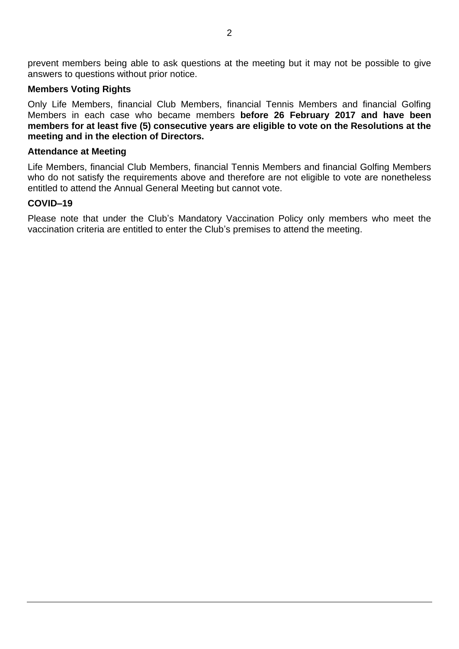prevent members being able to ask questions at the meeting but it may not be possible to give answers to questions without prior notice.

#### **Members Voting Rights**

Only Life Members, financial Club Members, financial Tennis Members and financial Golfing Members in each case who became members **before 26 February 2017 and have been members for at least five (5) consecutive years are eligible to vote on the Resolutions at the meeting and in the election of Directors.**

#### **Attendance at Meeting**

Life Members, financial Club Members, financial Tennis Members and financial Golfing Members who do not satisfy the requirements above and therefore are not eligible to vote are nonetheless entitled to attend the Annual General Meeting but cannot vote.

#### **COVID–19**

Please note that under the Club's Mandatory Vaccination Policy only members who meet the vaccination criteria are entitled to enter the Club's premises to attend the meeting.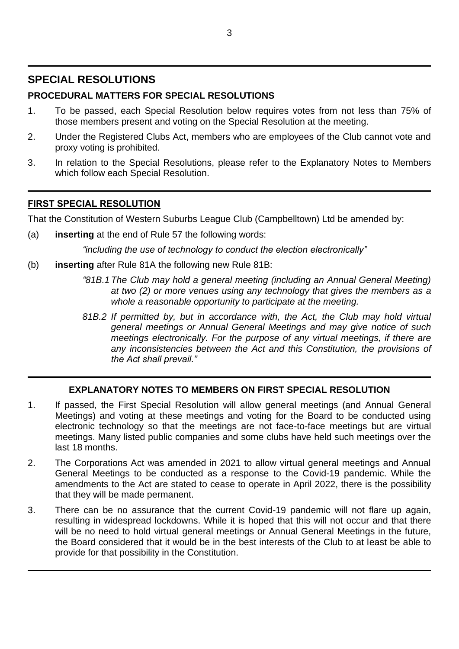# **SPECIAL RESOLUTIONS**

# **PROCEDURAL MATTERS FOR SPECIAL RESOLUTIONS**

- 1. To be passed, each Special Resolution below requires votes from not less than 75% of those members present and voting on the Special Resolution at the meeting.
- 2. Under the Registered Clubs Act, members who are employees of the Club cannot vote and proxy voting is prohibited.
- 3. In relation to the Special Resolutions, please refer to the Explanatory Notes to Members which follow each Special Resolution.

## **FIRST SPECIAL RESOLUTION**

That the Constitution of Western Suburbs League Club (Campbelltown) Ltd be amended by:

(a) **inserting** at the end of Rule 57 the following words:

*"including the use of technology to conduct the election electronically"*

- (b) **inserting** after Rule 81A the following new Rule 81B:
	- *"81B.1The Club may hold a general meeting (including an Annual General Meeting) at two (2) or more venues using any technology that gives the members as a whole a reasonable opportunity to participate at the meeting.*
	- *81B.2 If permitted by, but in accordance with, the Act, the Club may hold virtual general meetings or Annual General Meetings and may give notice of such meetings electronically. For the purpose of any virtual meetings, if there are any inconsistencies between the Act and this Constitution, the provisions of the Act shall prevail."*

## **EXPLANATORY NOTES TO MEMBERS ON FIRST SPECIAL RESOLUTION**

- 1. If passed, the First Special Resolution will allow general meetings (and Annual General Meetings) and voting at these meetings and voting for the Board to be conducted using electronic technology so that the meetings are not face-to-face meetings but are virtual meetings. Many listed public companies and some clubs have held such meetings over the last 18 months.
- 2. The Corporations Act was amended in 2021 to allow virtual general meetings and Annual General Meetings to be conducted as a response to the Covid-19 pandemic. While the amendments to the Act are stated to cease to operate in April 2022, there is the possibility that they will be made permanent.
- 3. There can be no assurance that the current Covid-19 pandemic will not flare up again, resulting in widespread lockdowns. While it is hoped that this will not occur and that there will be no need to hold virtual general meetings or Annual General Meetings in the future, the Board considered that it would be in the best interests of the Club to at least be able to provide for that possibility in the Constitution.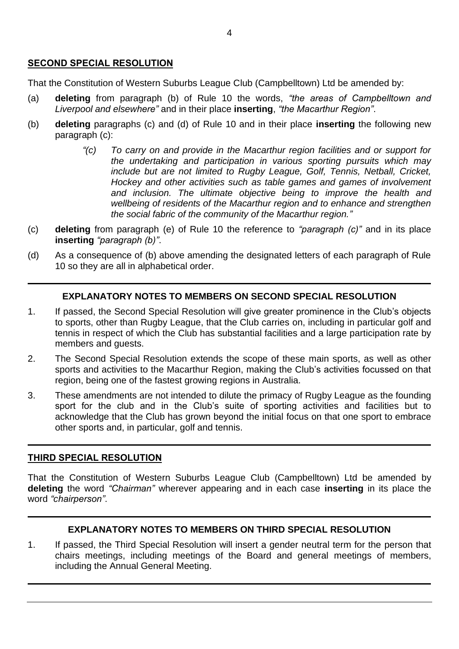## **SECOND SPECIAL RESOLUTION**

That the Constitution of Western Suburbs League Club (Campbelltown) Ltd be amended by:

- (a) **deleting** from paragraph (b) of Rule 10 the words, *"the areas of Campbelltown and Liverpool and elsewhere"* and in their place **inserting**, *"the Macarthur Region"*.
- (b) **deleting** paragraphs (c) and (d) of Rule 10 and in their place **inserting** the following new paragraph (c):
	- *"(c) To carry on and provide in the Macarthur region facilities and or support for the undertaking and participation in various sporting pursuits which may include but are not limited to Rugby League, Golf, Tennis, Netball, Cricket, Hockey and other activities such as table games and games of involvement and inclusion. The ultimate objective being to improve the health and wellbeing of residents of the Macarthur region and to enhance and strengthen the social fabric of the community of the Macarthur region."*
- (c) **deleting** from paragraph (e) of Rule 10 the reference to *"paragraph (c)"* and in its place **inserting** *"paragraph (b)"*.
- (d) As a consequence of (b) above amending the designated letters of each paragraph of Rule 10 so they are all in alphabetical order.

## **EXPLANATORY NOTES TO MEMBERS ON SECOND SPECIAL RESOLUTION**

- 1. If passed, the Second Special Resolution will give greater prominence in the Club's objects to sports, other than Rugby League, that the Club carries on, including in particular golf and tennis in respect of which the Club has substantial facilities and a large participation rate by members and guests.
- 2. The Second Special Resolution extends the scope of these main sports, as well as other sports and activities to the Macarthur Region, making the Club's activities focussed on that region, being one of the fastest growing regions in Australia.
- 3. These amendments are not intended to dilute the primacy of Rugby League as the founding sport for the club and in the Club's suite of sporting activities and facilities but to acknowledge that the Club has grown beyond the initial focus on that one sport to embrace other sports and, in particular, golf and tennis.

## **THIRD SPECIAL RESOLUTION**

That the Constitution of Western Suburbs League Club (Campbelltown) Ltd be amended by **deleting** the word *"Chairman"* wherever appearing and in each case **inserting** in its place the word *"chairperson"*.

## **EXPLANATORY NOTES TO MEMBERS ON THIRD SPECIAL RESOLUTION**

1. If passed, the Third Special Resolution will insert a gender neutral term for the person that chairs meetings, including meetings of the Board and general meetings of members, including the Annual General Meeting.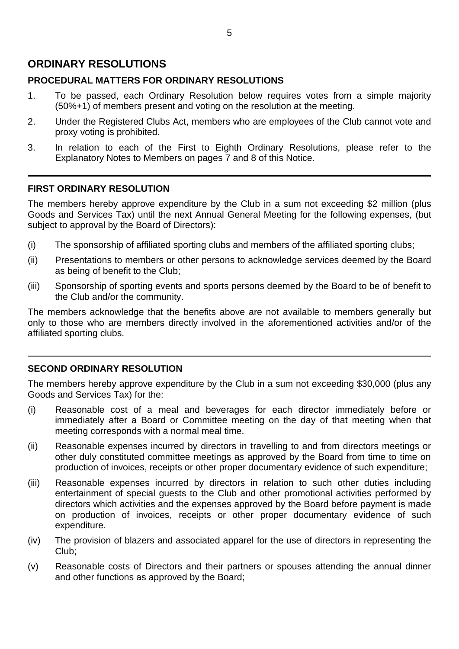# **ORDINARY RESOLUTIONS**

## **PROCEDURAL MATTERS FOR ORDINARY RESOLUTIONS**

- 1. To be passed, each Ordinary Resolution below requires votes from a simple majority (50%+1) of members present and voting on the resolution at the meeting.
- 2. Under the Registered Clubs Act, members who are employees of the Club cannot vote and proxy voting is prohibited.
- 3. In relation to each of the First to Eighth Ordinary Resolutions, please refer to the Explanatory Notes to Members on pages 7 and 8 of this Notice.

### **FIRST ORDINARY RESOLUTION**

The members hereby approve expenditure by the Club in a sum not exceeding \$2 million (plus Goods and Services Tax) until the next Annual General Meeting for the following expenses, (but subject to approval by the Board of Directors):

- (i) The sponsorship of affiliated sporting clubs and members of the affiliated sporting clubs;
- (ii) Presentations to members or other persons to acknowledge services deemed by the Board as being of benefit to the Club;
- (iii) Sponsorship of sporting events and sports persons deemed by the Board to be of benefit to the Club and/or the community.

The members acknowledge that the benefits above are not available to members generally but only to those who are members directly involved in the aforementioned activities and/or of the affiliated sporting clubs.

## **SECOND ORDINARY RESOLUTION**

The members hereby approve expenditure by the Club in a sum not exceeding \$30,000 (plus any Goods and Services Tax) for the:

- (i) Reasonable cost of a meal and beverages for each director immediately before or immediately after a Board or Committee meeting on the day of that meeting when that meeting corresponds with a normal meal time.
- (ii) Reasonable expenses incurred by directors in travelling to and from directors meetings or other duly constituted committee meetings as approved by the Board from time to time on production of invoices, receipts or other proper documentary evidence of such expenditure;
- (iii) Reasonable expenses incurred by directors in relation to such other duties including entertainment of special guests to the Club and other promotional activities performed by directors which activities and the expenses approved by the Board before payment is made on production of invoices, receipts or other proper documentary evidence of such expenditure.
- (iv) The provision of blazers and associated apparel for the use of directors in representing the Club;
- (v) Reasonable costs of Directors and their partners or spouses attending the annual dinner and other functions as approved by the Board;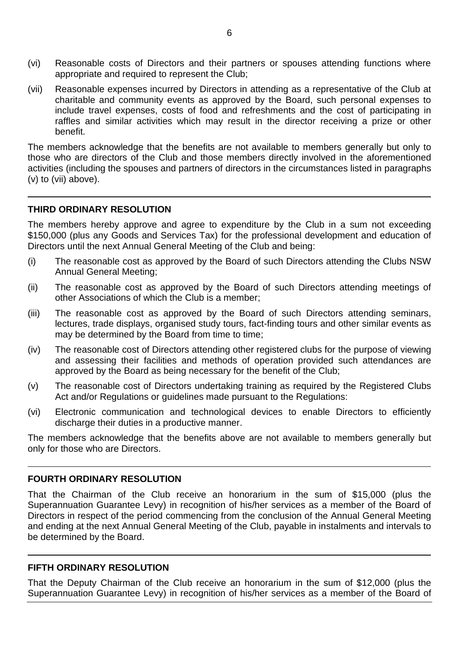- (vi) Reasonable costs of Directors and their partners or spouses attending functions where appropriate and required to represent the Club;
- (vii) Reasonable expenses incurred by Directors in attending as a representative of the Club at charitable and community events as approved by the Board, such personal expenses to include travel expenses, costs of food and refreshments and the cost of participating in raffles and similar activities which may result in the director receiving a prize or other benefit.

The members acknowledge that the benefits are not available to members generally but only to those who are directors of the Club and those members directly involved in the aforementioned activities (including the spouses and partners of directors in the circumstances listed in paragraphs (v) to (vii) above).

#### **THIRD ORDINARY RESOLUTION**

The members hereby approve and agree to expenditure by the Club in a sum not exceeding \$150,000 (plus any Goods and Services Tax) for the professional development and education of Directors until the next Annual General Meeting of the Club and being:

- (i) The reasonable cost as approved by the Board of such Directors attending the Clubs NSW Annual General Meeting;
- (ii) The reasonable cost as approved by the Board of such Directors attending meetings of other Associations of which the Club is a member;
- (iii) The reasonable cost as approved by the Board of such Directors attending seminars, lectures, trade displays, organised study tours, fact-finding tours and other similar events as may be determined by the Board from time to time;
- (iv) The reasonable cost of Directors attending other registered clubs for the purpose of viewing and assessing their facilities and methods of operation provided such attendances are approved by the Board as being necessary for the benefit of the Club;
- (v) The reasonable cost of Directors undertaking training as required by the Registered Clubs Act and/or Regulations or guidelines made pursuant to the Regulations:
- (vi) Electronic communication and technological devices to enable Directors to efficiently discharge their duties in a productive manner.

The members acknowledge that the benefits above are not available to members generally but only for those who are Directors.

#### **FOURTH ORDINARY RESOLUTION**

That the Chairman of the Club receive an honorarium in the sum of \$15,000 (plus the Superannuation Guarantee Levy) in recognition of his/her services as a member of the Board of Directors in respect of the period commencing from the conclusion of the Annual General Meeting and ending at the next Annual General Meeting of the Club, payable in instalments and intervals to be determined by the Board.

#### **FIFTH ORDINARY RESOLUTION**

That the Deputy Chairman of the Club receive an honorarium in the sum of \$12,000 (plus the Superannuation Guarantee Levy) in recognition of his/her services as a member of the Board of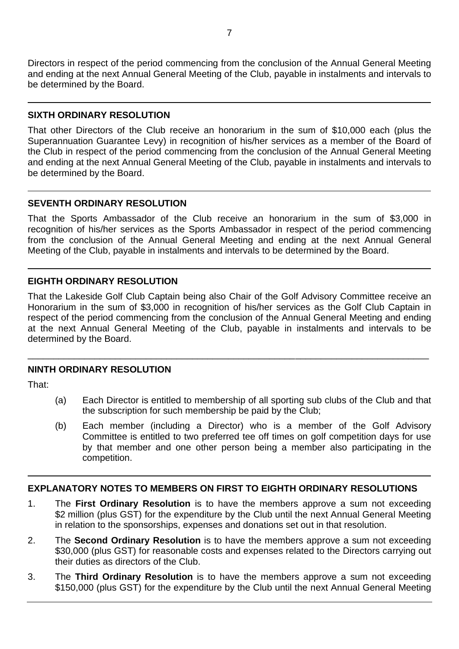Directors in respect of the period commencing from the conclusion of the Annual General Meeting and ending at the next Annual General Meeting of the Club, payable in instalments and intervals to be determined by the Board.

#### **SIXTH ORDINARY RESOLUTION**

That other Directors of the Club receive an honorarium in the sum of \$10,000 each (plus the Superannuation Guarantee Levy) in recognition of his/her services as a member of the Board of the Club in respect of the period commencing from the conclusion of the Annual General Meeting and ending at the next Annual General Meeting of the Club, payable in instalments and intervals to be determined by the Board.

## **SEVENTH ORDINARY RESOLUTION**

That the Sports Ambassador of the Club receive an honorarium in the sum of \$3,000 in recognition of his/her services as the Sports Ambassador in respect of the period commencing from the conclusion of the Annual General Meeting and ending at the next Annual General Meeting of the Club, payable in instalments and intervals to be determined by the Board.

## **EIGHTH ORDINARY RESOLUTION**

That the Lakeside Golf Club Captain being also Chair of the Golf Advisory Committee receive an Honorarium in the sum of \$3,000 in recognition of his/her services as the Golf Club Captain in respect of the period commencing from the conclusion of the Annual General Meeting and ending at the next Annual General Meeting of the Club, payable in instalments and intervals to be determined by the Board.

\_\_\_\_\_\_\_\_\_\_\_\_\_\_\_\_\_\_\_\_\_\_\_\_\_\_\_\_\_\_\_\_\_\_\_\_\_\_\_\_\_\_\_\_\_\_\_\_\_\_\_\_\_\_\_\_\_\_\_\_\_\_\_\_\_\_\_\_\_\_\_\_\_\_\_\_\_\_

## **NINTH ORDINARY RESOLUTION**

That:

- (a) Each Director is entitled to membership of all sporting sub clubs of the Club and that the subscription for such membership be paid by the Club;
- (b) Each member (including a Director) who is a member of the Golf Advisory Committee is entitled to two preferred tee off times on golf competition days for use by that member and one other person being a member also participating in the competition.

## **EXPLANATORY NOTES TO MEMBERS ON FIRST TO EIGHTH ORDINARY RESOLUTIONS**

- 1. The **First Ordinary Resolution** is to have the members approve a sum not exceeding \$2 million (plus GST) for the expenditure by the Club until the next Annual General Meeting in relation to the sponsorships, expenses and donations set out in that resolution.
- 2. The **Second Ordinary Resolution** is to have the members approve a sum not exceeding \$30,000 (plus GST) for reasonable costs and expenses related to the Directors carrying out their duties as directors of the Club.
- 3. The **Third Ordinary Resolution** is to have the members approve a sum not exceeding \$150,000 (plus GST) for the expenditure by the Club until the next Annual General Meeting